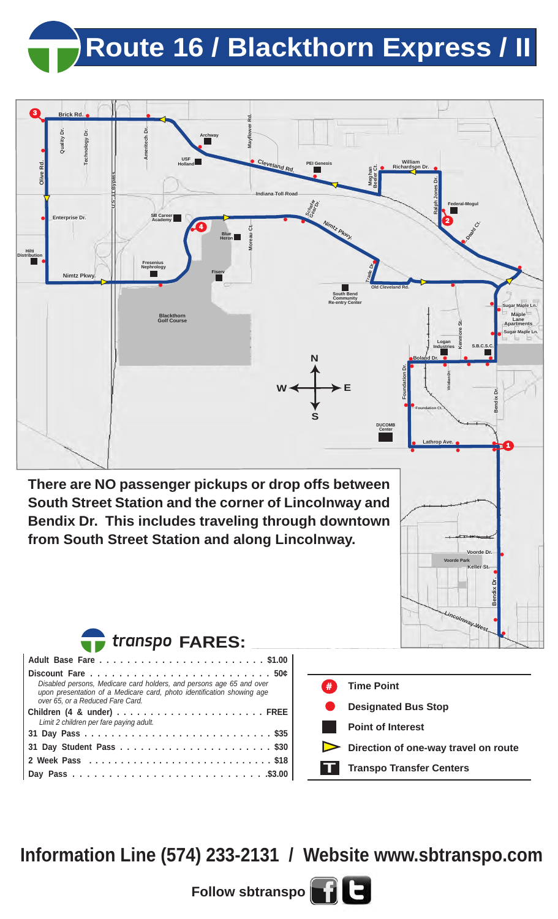## **Route 16 / Blackthorn Express / II**



| Disabled persons, Medicare card holders, and persons age 65 and over<br>upon presentation of a Medicare card, photo identification showing age<br>over 65, or a Reduced Fare Card. |
|------------------------------------------------------------------------------------------------------------------------------------------------------------------------------------|
| Limit 2 children per fare paying adult.                                                                                                                                            |
|                                                                                                                                                                                    |
|                                                                                                                                                                                    |
|                                                                                                                                                                                    |
|                                                                                                                                                                                    |

| # | <b>Time Point</b>                    |
|---|--------------------------------------|
|   | <b>Designated Bus Stop</b>           |
|   | <b>Point of Interest</b>             |
|   | Direction of one-way travel on route |
|   | Transpo Transfer Centers             |
|   |                                      |

**Information Line (574) 233-2131 / Website www.sbtranspo.com**

**Follow sbtranspo**